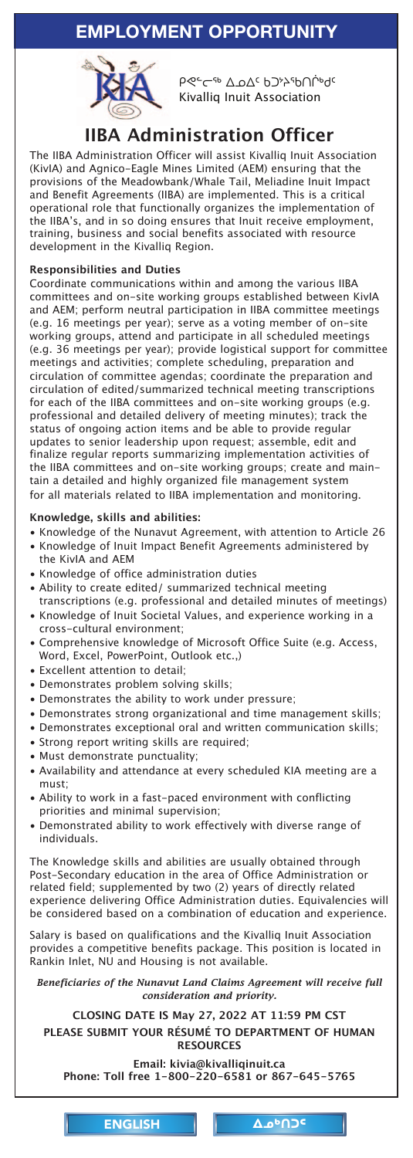the IIBA's, and in so doing ensures that Inuit receive employment, training, business and social benefits associated with resource development in the Kivalliq Region.

## **Responsibilities and Duties**

Coordinate communications within and among the various IIBA committees and on-site working groups established between KivIA and AEM; perform neutral participation in IIBA committee meetings (e.g. 16 meetings per year); serve as a voting member of on-site working groups, attend and participate in all scheduled meetings (e.g. 36 meetings per year); provide logistical support for committee meetings and activities; complete scheduling, preparation and circulation of committee agendas; coordinate the preparation and circulation of edited/summarized technical meeting transcriptions for each of the IIBA committees and on-site working groups (e.g. professional and detailed delivery of meeting minutes); track the status of ongoing action items and be able to provide regular updates to senior leadership upon request; assemble, edit and finalize regular reports summarizing implementation activities of the IIBA committees and on-site working groups; create and maintain a detailed and highly organized file management system for all materials related to IIBA implementation and monitoring.

## **Knowledge, skills and abilities:**

- Knowledge of the Nunavut Agreement, with attention to Article 26
- Knowledge of Inuit Impact Benefit Agreements administered by the KivIA and AEM
- Knowledge of office administration duties
- Ability to create edited/ summarized technical meeting transcriptions (e.g. professional and detailed minutes of meetings)
- Knowledge of Inuit Societal Values, and experience working in a cross-cultural environment;
- Comprehensive knowledge of Microsoft Office Suite (e.g. Access, Word, Excel, PowerPoint, Outlook etc.,)
- Excellent attention to detail;
- Demonstrates problem solving skills;
- Demonstrates the ability to work under pressure;
- Demonstrates strong organizational and time management skills;
- Demonstrates exceptional oral and written communication skills;
- Strong report writing skills are required;
- Must demonstrate punctuality;
- Availability and attendance at every scheduled KIA meeting are a must;
- Ability to work in a fast-paced environment with conflicting priorities and minimal supervision;
- Demonstrated ability to work effectively with diverse range of individuals.

The Knowledge skills and abilities are usually obtained through Post-Secondary education in the area of Office Administration or related field; supplemented by two (2) years of directly related [experience delivering Office Administration duties. Equivalencies will](mailto:kivia@kivalliqinuit.ca)  be considered based on a combination of education and experience.

Salary is based on qualifications and the Kivalliq Inuit Association provides a competitive benefits package. This position is located in Rankin Inlet, NU and Housing is not available.

*Beneficiaries of the Nunavut Land Claims Agreement will receive full consideration and priority.*

**CLOSING DATE IS May 27, 2022 AT 11:59 PM CST PLEASE SUBMIT YOUR RÉSUMÉ TO DEPARTMENT OF HUMAN RESOURCES** 

**Email: kivia@kivalliqinuit.ca Phone: Toll free 1-800-220-6581 or 867-645-5765**

ENGLISH | Δο<sup>6</sup>ΠΟ<sup>ς</sup>